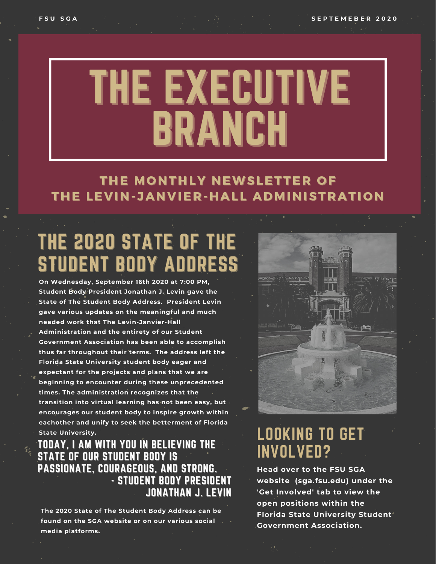# THE EXECUTIVE BRANCH

#### THE MONTHLY NEWSLETTER OF THE LEVIN-JANVIER-HALL ADMINISTRATION

# THE 2020 STATE OF THE STUDENT BODY ADDRESS

**On Wednesday, September 16th 2020 at 7:00 PM, Student Body President Jonathan J. Levin gave the State of The Student Body Address. President Levin gave various updates on the meaningful and much needed work that The Levin-Janvier-Hall Administration and the entirety of our Student Government Association has been able to accomplish thus far throughout their terms. The address left the Florida State University student body eager and expectant for the projects and plans that we are beginning to encounter during these unprecedented times. The administration recognizes that the transition into virtual learning has not been easy, but encourages our student body to inspire growth within eachother and unify to seek the betterment of Florida State University.**

#### TODAY, I AM WITH YOU IN BELIEVING THE STATE OF OUR STUDENT BODY IS PASSIONATE, COURAGEOUS, AND STRONG. - STUDENT BODY PRESIDENT JONATHAN J. LEVIN

**The 2020 State of The Student Body Address can be found on the SGA website or on our various social media platforms.**



### LOOKING TO GET INVOLVED?

**Head over to the FSU SGA website (sga.fsu.edu) under the 'Get Involved' tab to view the open positions within the Florida State University Student Government Association.**